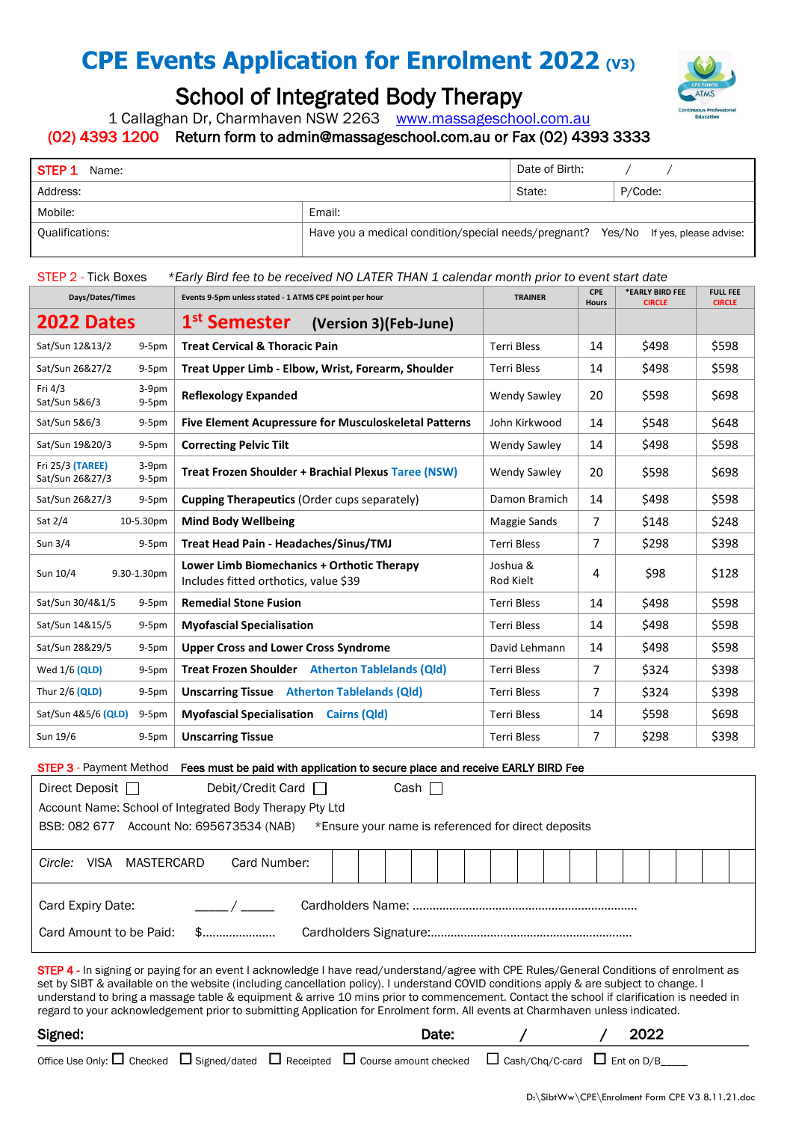# **CPE Events Application for Enrolment 2022 (V3)**



## School of Integrated Body Therapy

1 Callaghan Dr, Charmhaven NSW 2263 [www.massageschool.com.au](http://www.massageschool.com.au/)

## (02) 4393 1200 Return form to [admin@massageschool.com.au](mailto:admin@massageschool.com.au) or Fax (02) 4393 3333

| STEP 1<br>Name:        |                                                                                    | Date of Birth: |         |
|------------------------|------------------------------------------------------------------------------------|----------------|---------|
| Address:               |                                                                                    | State:         | P/Code: |
| Mobile:                | Email:                                                                             |                |         |
| <b>Qualifications:</b> | Have you a medical condition/special needs/pregnant? Yes/No If yes, please advise: |                |         |

## STEP 2 - Tick Boxes *\*Early Bird fee to be received NO LATER THAN 1 calendar month prior to event start date*

| Days/Dates/Times<br>Events 9-5pm unless stated - 1 ATMS CPE point per hour |                    | <b>TRAINER</b>                                                                      | <b>CPE</b><br><b>Hours</b> | *EARLY BIRD FEE<br><b>CIRCLE</b> | <b>FULL FEE</b><br><b>CIRCLE</b> |       |
|----------------------------------------------------------------------------|--------------------|-------------------------------------------------------------------------------------|----------------------------|----------------------------------|----------------------------------|-------|
| 2022 Dates                                                                 |                    | 1 <sup>st</sup> Semester<br>(Version 3)(Feb-June)                                   |                            |                                  |                                  |       |
| Sat/Sun 12&13/2                                                            | $9-5pm$            | <b>Treat Cervical &amp; Thoracic Pain</b>                                           | <b>Terri Bless</b>         | 14                               | \$498                            | \$598 |
| Sat/Sun 26&27/2                                                            | $9-5pm$            | Treat Upper Limb - Elbow, Wrist, Forearm, Shoulder                                  | <b>Terri Bless</b>         | 14                               | \$498                            | \$598 |
| Fri 4/3<br>Sat/Sun 5&6/3                                                   | $3-9pm$<br>$9-5pm$ | <b>Reflexology Expanded</b>                                                         | <b>Wendy Sawley</b>        | 20                               | \$598                            | \$698 |
| Sat/Sun 5&6/3                                                              | $9-5pm$            | <b>Five Element Acupressure for Musculoskeletal Patterns</b>                        | John Kirkwood              | 14                               | \$548                            | \$648 |
| Sat/Sun 19&20/3                                                            | $9-5pm$            | <b>Correcting Pelvic Tilt</b>                                                       | <b>Wendy Sawley</b>        | 14                               | \$498                            | \$598 |
| Fri 25/3 (TAREE)<br>Sat/Sun 26&27/3                                        | $3-9pm$<br>$9-5pm$ | <b>Treat Frozen Shoulder + Brachial Plexus Taree (NSW)</b>                          | <b>Wendy Sawley</b>        | 20                               | \$598                            | \$698 |
| Sat/Sun 26&27/3                                                            | $9-5pm$            | <b>Cupping Therapeutics (Order cups separately)</b>                                 | Damon Bramich              | 14                               | \$498                            | \$598 |
| Sat 2/4                                                                    | 10-5.30pm          | <b>Mind Body Wellbeing</b>                                                          | Maggie Sands               | $\overline{7}$                   | \$148                            | \$248 |
| Sun 3/4                                                                    | $9-5pm$            | Treat Head Pain - Headaches/Sinus/TMJ                                               | <b>Terri Bless</b>         | 7                                | \$298                            | \$398 |
| Sun 10/4                                                                   | 9.30-1.30pm        | Lower Limb Biomechanics + Orthotic Therapy<br>Includes fitted orthotics, value \$39 | Joshua &<br>Rod Kielt      | 4                                | \$98                             | \$128 |
| Sat/Sun 30/4&1/5                                                           | $9-5pm$            | <b>Remedial Stone Fusion</b>                                                        | <b>Terri Bless</b>         | 14                               | \$498                            | \$598 |
| Sat/Sun 14&15/5                                                            | $9-5pm$            | <b>Myofascial Specialisation</b>                                                    | <b>Terri Bless</b>         | 14                               | \$498                            | \$598 |
| Sat/Sun 28&29/5                                                            | $9-5pm$            | <b>Upper Cross and Lower Cross Syndrome</b>                                         | David Lehmann              | 14                               | \$498                            | \$598 |
| Wed $1/6$ (QLD)                                                            | $9-5pm$            | Treat Frozen Shoulder Atherton Tablelands (Qld)                                     | <b>Terri Bless</b>         | 7                                | \$324                            | \$398 |
| Thur 2/6 (QLD)                                                             | $9-5pm$            | <b>Unscarring Tissue</b> Atherton Tablelands (Qld)                                  | <b>Terri Bless</b>         | 7                                | \$324                            | \$398 |
| Sat/Sun 4&5/6 (QLD)                                                        | $9-5pm$            | <b>Myofascial Specialisation</b> Cairns (Qld)                                       | <b>Terri Bless</b>         | 14                               | \$598                            | \$698 |
| Sun 19/6                                                                   | $9-5pm$            | <b>Unscarring Tissue</b>                                                            | <b>Terri Bless</b>         | 7                                | \$298                            | \$398 |

### STEP 3 - Payment Method Fees must be paid with application to secure place and receive EARLY BIRD Fee

| Direct Deposit $\Box$<br>Debit/Credit Card $\Box$<br>Cash                                                                                                                                                                                                                                                                                                                                                                                                                                                                                                             |  |  |  |  |  |  |
|-----------------------------------------------------------------------------------------------------------------------------------------------------------------------------------------------------------------------------------------------------------------------------------------------------------------------------------------------------------------------------------------------------------------------------------------------------------------------------------------------------------------------------------------------------------------------|--|--|--|--|--|--|
| Account Name: School of Integrated Body Therapy Pty Ltd                                                                                                                                                                                                                                                                                                                                                                                                                                                                                                               |  |  |  |  |  |  |
| BSB: 082 677 Account No: 695673534 (NAB)<br>*Ensure your name is referenced for direct deposits                                                                                                                                                                                                                                                                                                                                                                                                                                                                       |  |  |  |  |  |  |
|                                                                                                                                                                                                                                                                                                                                                                                                                                                                                                                                                                       |  |  |  |  |  |  |
| Card Number:<br><b>VISA</b><br>MASTERCARD<br>Circle:                                                                                                                                                                                                                                                                                                                                                                                                                                                                                                                  |  |  |  |  |  |  |
|                                                                                                                                                                                                                                                                                                                                                                                                                                                                                                                                                                       |  |  |  |  |  |  |
| Card Expiry Date:                                                                                                                                                                                                                                                                                                                                                                                                                                                                                                                                                     |  |  |  |  |  |  |
| Card Amount to be Paid:                                                                                                                                                                                                                                                                                                                                                                                                                                                                                                                                               |  |  |  |  |  |  |
| <b>STEP 4</b> - In signing or paying for an event I acknowledge I have read/understand/agree with CPE Rules/General Conditions of enrolment as<br>set by SIBT & available on the website (including cancellation policy). I understand COVID conditions apply & are subject to change. I<br>understand to bring a massage table & equipment & arrive 10 mins prior to commencement. Contact the school if clarification is needed in<br>regard to your acknowledgement prior to submitting Application for Enrolment form. All events at Charmhaven unless indicated. |  |  |  |  |  |  |

Signed:  $\sqrt{2022}$